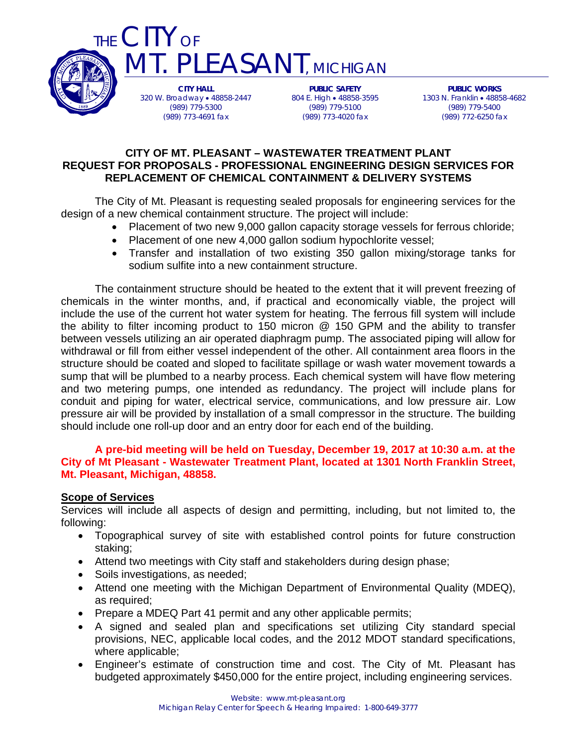

**CITY HALL**  320 W. Broadway 48858-2447 (989) 779-5300 (989) 773-4691 fax

**PUBLIC SAFETY**  804 E. High • 48858-3595 (989) 779-5100 (989) 773-4020 fax

**PUBLIC WORKS**  1303 N. Franklin 48858-4682 (989) 779-5400 (989) 772-6250 fax

### **CITY OF MT. PLEASANT – WASTEWATER TREATMENT PLANT REQUEST FOR PROPOSALS - PROFESSIONAL ENGINEERING DESIGN SERVICES FOR REPLACEMENT OF CHEMICAL CONTAINMENT & DELIVERY SYSTEMS**

**IT. PLEASANT, MICHIGAN** 

The City of Mt. Pleasant is requesting sealed proposals for engineering services for the design of a new chemical containment structure. The project will include:

- Placement of two new 9,000 gallon capacity storage vessels for ferrous chloride;
- Placement of one new 4,000 gallon sodium hypochlorite vessel;
- Transfer and installation of two existing 350 gallon mixing/storage tanks for sodium sulfite into a new containment structure.

The containment structure should be heated to the extent that it will prevent freezing of chemicals in the winter months, and, if practical and economically viable, the project will include the use of the current hot water system for heating. The ferrous fill system will include the ability to filter incoming product to 150 micron @ 150 GPM and the ability to transfer between vessels utilizing an air operated diaphragm pump. The associated piping will allow for withdrawal or fill from either vessel independent of the other. All containment area floors in the structure should be coated and sloped to facilitate spillage or wash water movement towards a sump that will be plumbed to a nearby process. Each chemical system will have flow metering and two metering pumps, one intended as redundancy. The project will include plans for conduit and piping for water, electrical service, communications, and low pressure air. Low pressure air will be provided by installation of a small compressor in the structure. The building should include one roll-up door and an entry door for each end of the building.

## **A pre-bid meeting will be held on Tuesday, December 19, 2017 at 10:30 a.m. at the City of Mt Pleasant - Wastewater Treatment Plant, located at 1301 North Franklin Street, Mt. Pleasant, Michigan, 48858.**

#### **Scope of Services**

Services will include all aspects of design and permitting, including, but not limited to, the following:

- Topographical survey of site with established control points for future construction staking;
- Attend two meetings with City staff and stakeholders during design phase;
- Soils investigations, as needed;
- Attend one meeting with the Michigan Department of Environmental Quality (MDEQ), as required;
- Prepare a MDEQ Part 41 permit and any other applicable permits;
- A signed and sealed plan and specifications set utilizing City standard special provisions, NEC, applicable local codes, and the 2012 MDOT standard specifications, where applicable;
- Engineer's estimate of construction time and cost. The City of Mt. Pleasant has budgeted approximately \$450,000 for the entire project, including engineering services.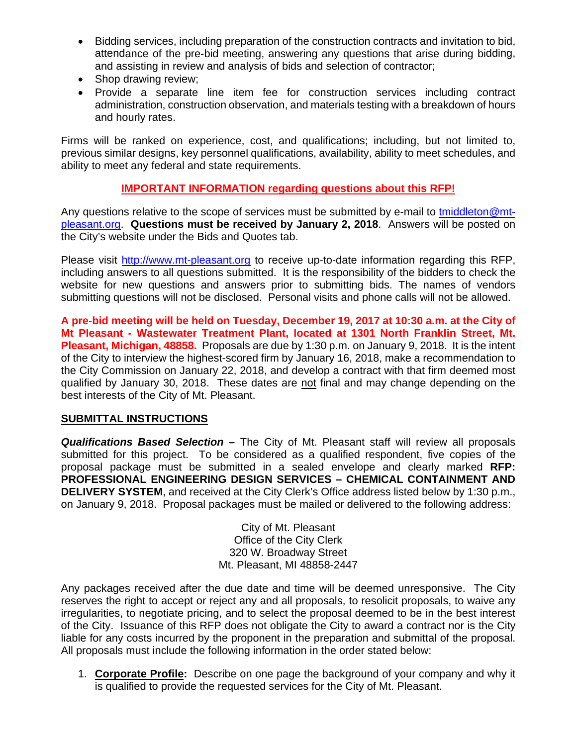- Bidding services, including preparation of the construction contracts and invitation to bid, attendance of the pre-bid meeting, answering any questions that arise during bidding, and assisting in review and analysis of bids and selection of contractor;
- Shop drawing review:
- Provide a separate line item fee for construction services including contract administration, construction observation, and materials testing with a breakdown of hours and hourly rates.

Firms will be ranked on experience, cost, and qualifications; including, but not limited to, previous similar designs, key personnel qualifications, availability, ability to meet schedules, and ability to meet any federal and state requirements.

# **IMPORTANT INFORMATION regarding questions about this RFP!**

Any questions relative to the scope of services must be submitted by e-mail to tmiddleton@mtpleasant.org. **Questions must be received by January 2, 2018**. Answers will be posted on the City's website under the Bids and Quotes tab.

Please visit http://www.mt-pleasant.org to receive up-to-date information regarding this RFP, including answers to all questions submitted. It is the responsibility of the bidders to check the website for new questions and answers prior to submitting bids. The names of vendors submitting questions will not be disclosed. Personal visits and phone calls will not be allowed.

**A pre-bid meeting will be held on Tuesday, December 19, 2017 at 10:30 a.m. at the City of Mt Pleasant - Wastewater Treatment Plant, located at 1301 North Franklin Street, Mt. Pleasant, Michigan, 48858.** Proposals are due by 1:30 p.m. on January 9, 2018. It is the intent of the City to interview the highest-scored firm by January 16, 2018, make a recommendation to the City Commission on January 22, 2018, and develop a contract with that firm deemed most qualified by January 30, 2018. These dates are not final and may change depending on the best interests of the City of Mt. Pleasant.

# **SUBMITTAL INSTRUCTIONS**

*Qualifications Based Selection –* The City of Mt. Pleasant staff will review all proposals submitted for this project. To be considered as a qualified respondent, five copies of the proposal package must be submitted in a sealed envelope and clearly marked **RFP: PROFESSIONAL ENGINEERING DESIGN SERVICES – CHEMICAL CONTAINMENT AND DELIVERY SYSTEM**, and received at the City Clerk's Office address listed below by 1:30 p.m., on January 9, 2018. Proposal packages must be mailed or delivered to the following address:

> City of Mt. Pleasant Office of the City Clerk 320 W. Broadway Street Mt. Pleasant, MI 48858-2447

Any packages received after the due date and time will be deemed unresponsive. The City reserves the right to accept or reject any and all proposals, to resolicit proposals, to waive any irregularities, to negotiate pricing, and to select the proposal deemed to be in the best interest of the City. Issuance of this RFP does not obligate the City to award a contract nor is the City liable for any costs incurred by the proponent in the preparation and submittal of the proposal. All proposals must include the following information in the order stated below:

1. **Corporate Profile:** Describe on one page the background of your company and why it is qualified to provide the requested services for the City of Mt. Pleasant.